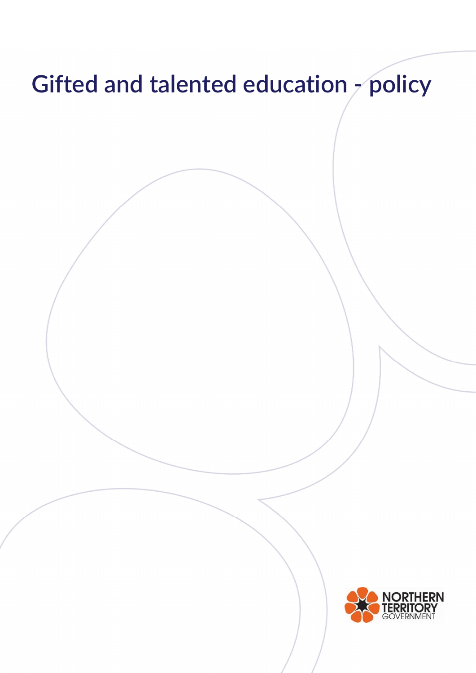# Gifted and talented education - policy RN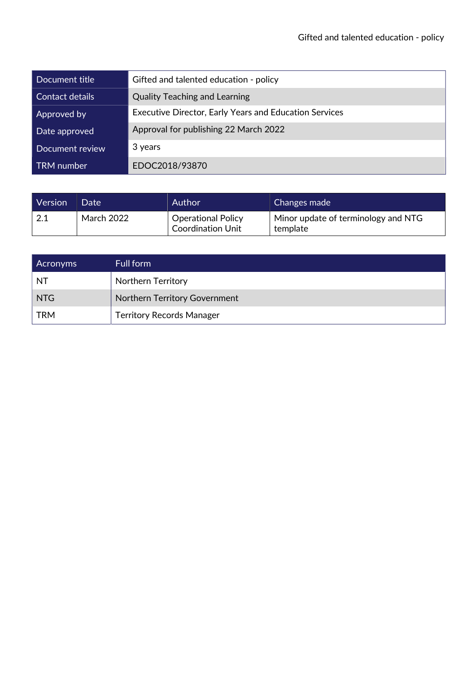| Document title    | Gifted and talented education - policy                        |
|-------------------|---------------------------------------------------------------|
| Contact details   | <b>Quality Teaching and Learning</b>                          |
| Approved by       | <b>Executive Director, Early Years and Education Services</b> |
| Date approved     | Approval for publishing 22 March 2022                         |
| Document review   | 3 years                                                       |
| <b>TRM</b> number | EDOC2018/93870                                                |

| Version | Date              | Author                                                | Changes made                                    |
|---------|-------------------|-------------------------------------------------------|-------------------------------------------------|
| 2.1     | <b>March 2022</b> | <b>Operational Policy</b><br><b>Coordination Unit</b> | Minor update of terminology and NTG<br>template |

| <b>Acronyms</b> | Full form                        |
|-----------------|----------------------------------|
| NT.             | <b>Northern Territory</b>        |
| NTG             | Northern Territory Government    |
| <b>TRM</b>      | <b>Territory Records Manager</b> |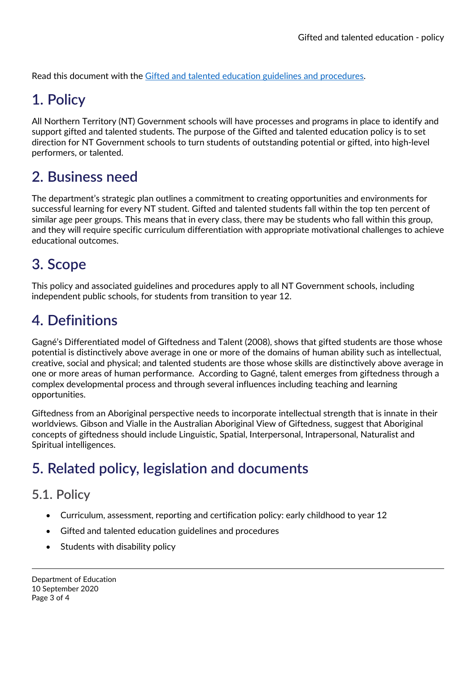Read this document with the Gifted and talented education guidelines and procedures.

# 1. Policy

All Northern Territory (NT) Government schools will have processes and programs in place to identify and support gifted and talented students. The purpose of the Gifted and talented education policy is to set direction for NT Government schools to turn students of outstanding potential or gifted, into high-level performers, or talented.

### 2. Business need

The department's strategic plan outlines a commitment to creating opportunities and environments for successful learning for every NT student. Gifted and talented students fall within the top ten percent of similar age peer groups. This means that in every class, there may be students who fall within this group, and they will require specific curriculum differentiation with appropriate motivational challenges to achieve educational outcomes.

### 3. Scope

This policy and associated guidelines and procedures apply to all NT Government schools, including independent public schools, for students from transition to year 12.

## 4. Definitions

Gagné's Differentiated model of Giftedness and Talent (2008), shows that gifted students are those whose potential is distinctively above average in one or more of the domains of human ability such as intellectual, creative, social and physical; and talented students are those whose skills are distinctively above average in one or more areas of human performance. According to Gagné, talent emerges from giftedness through a complex developmental process and through several influences including teaching and learning opportunities.

Giftedness from an Aboriginal perspective needs to incorporate intellectual strength that is innate in their worldviews. Gibson and Vialle in the Australian Aboriginal View of Giftedness, suggest that Aboriginal concepts of giftedness should include Linguistic, Spatial, Interpersonal, Intrapersonal, Naturalist and Spiritual intelligences.

# 5. Related policy, legislation and documents

### 5.1. Policy

- Curriculum, assessment, reporting and certification policy: early childhood to year 12
- Gifted and talented education guidelines and procedures
- Students with disability policy

Department of Education 10 September 2020 Page 3 of 4